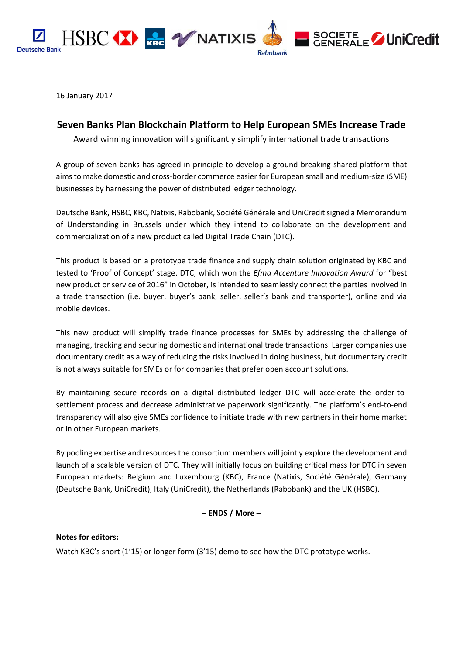

16 January 2017

## **Seven Banks Plan Blockchain Platform to Help European SMEs Increase Trade**

Award winning innovation will significantly simplify international trade transactions

A group of seven banks has agreed in principle to develop a ground-breaking shared platform that aims to make domestic and cross-border commerce easier for European small and medium-size (SME) businesses by harnessing the power of distributed ledger technology.

Deutsche Bank, HSBC, KBC, Natixis, Rabobank, Société Générale and UniCredit signed a Memorandum of Understanding in Brussels under which they intend to collaborate on the development and commercialization of a new product called Digital Trade Chain (DTC).

This product is based on a prototype trade finance and supply chain solution originated by KBC and tested to 'Proof of Concept' stage. DTC, which won the *Efma Accenture Innovation Award* for "best new product or service of 2016" in October, is intended to seamlessly connect the parties involved in a trade transaction (i.e. buyer, buyer's bank, seller, seller's bank and transporter), online and via mobile devices.

This new product will simplify trade finance processes for SMEs by addressing the challenge of managing, tracking and securing domestic and international trade transactions. Larger companies use documentary credit as a way of reducing the risks involved in doing business, but documentary credit is not always suitable for SMEs or for companies that prefer open account solutions.

By maintaining secure records on a digital distributed ledger DTC will accelerate the order-tosettlement process and decrease administrative paperwork significantly. The platform's end-to-end transparency will also give SMEs confidence to initiate trade with new partners in their home market or in other European markets.

By pooling expertise and resources the consortium members will jointly explore the development and launch of a scalable version of DTC. They will initially focus on building critical mass for DTC in seven European markets: Belgium and Luxembourg (KBC), France (Natixis, Société Générale), Germany (Deutsche Bank, UniCredit), Italy (UniCredit), the Netherlands (Rabobank) and the UK (HSBC).

## **– ENDS / More –**

## **Notes for editors:**

Watch KBC's [short](https://youtu.be/2R_8IEUpkPw) (1'15) or [longer](https://www.youtube.com/watch?v=tzbF74sHf2Q&feature=youtu.be) form (3'15) demo to see how the DTC prototype works.